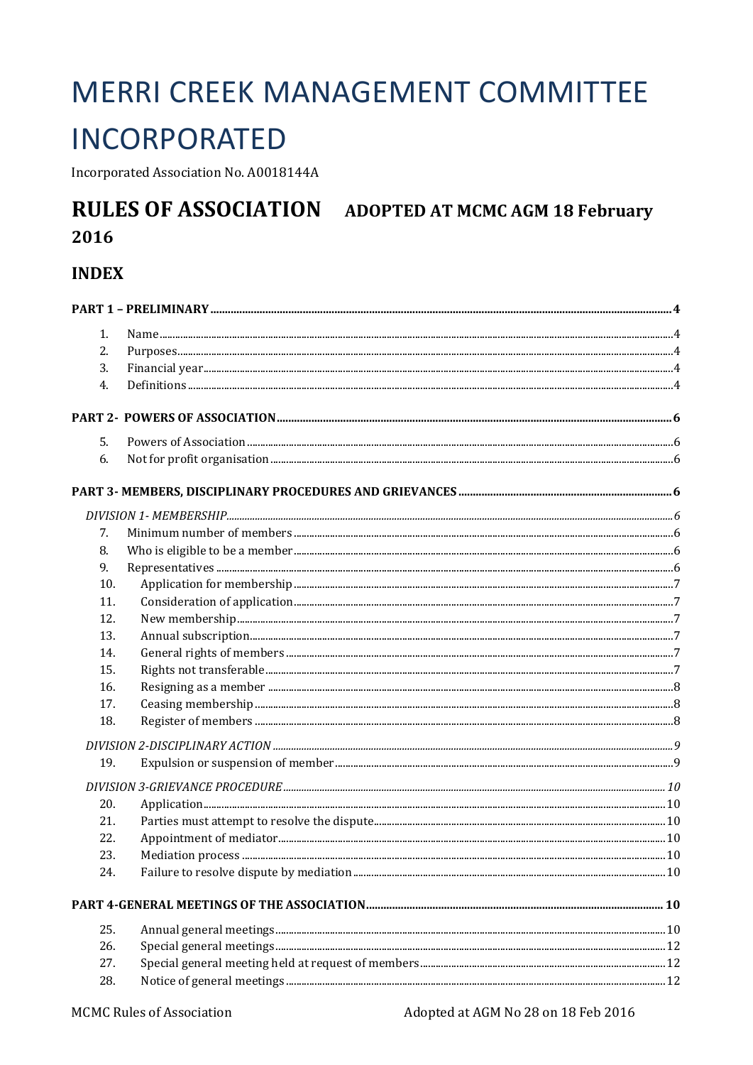# **MERRI CREEK MANAGEMENT COMMITTEE**

## **INCORPORATED**

Incorporated Association No. A0018144A

#### **RULES OF ASSOCIATION ADOPTED AT MCMC AGM 18 February** 2016

## **INDEX**

| 1.  |  |
|-----|--|
| 2.  |  |
| 3.  |  |
| 4.  |  |
|     |  |
| 5.  |  |
| 6.  |  |
|     |  |
|     |  |
| 7.  |  |
| 8.  |  |
| 9.  |  |
| 10. |  |
| 11. |  |
| 12. |  |
| 13. |  |
| 14. |  |
| 15. |  |
| 16. |  |
| 17. |  |
| 18. |  |
|     |  |
| 19. |  |
|     |  |
| 20. |  |
| 21. |  |
| 22. |  |
| 23. |  |
| 24. |  |
|     |  |
| 25. |  |
| 26. |  |
| 27. |  |
| 28. |  |
|     |  |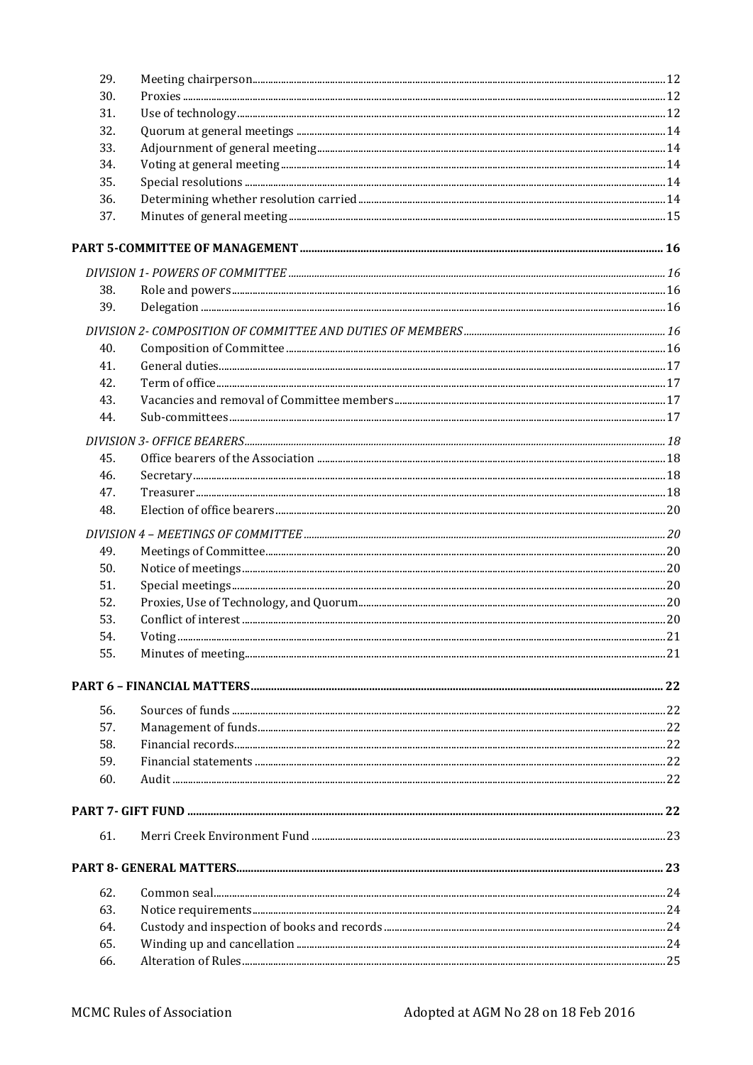| 29.        |  |
|------------|--|
| 30.        |  |
| 31.        |  |
| 32.        |  |
| 33.        |  |
| 34.        |  |
| 35.        |  |
| 36.        |  |
| 37.        |  |
|            |  |
|            |  |
| 38.        |  |
| 39.        |  |
|            |  |
| 40.        |  |
| 41.        |  |
| 42.        |  |
| 43.        |  |
| 44.        |  |
|            |  |
|            |  |
| 45.<br>46. |  |
| 47.        |  |
| 48.        |  |
|            |  |
|            |  |
| 49.        |  |
| 50.        |  |
| 51.        |  |
| 52.        |  |
| 53.        |  |
| 54.        |  |
| 55.        |  |
|            |  |
| 56.        |  |
| 57.        |  |
| 58.        |  |
| 59.        |  |
| 60.        |  |
|            |  |
| 61.        |  |
|            |  |
| 62.        |  |
| 63.        |  |
| 64.        |  |
| 65.        |  |
| 66.        |  |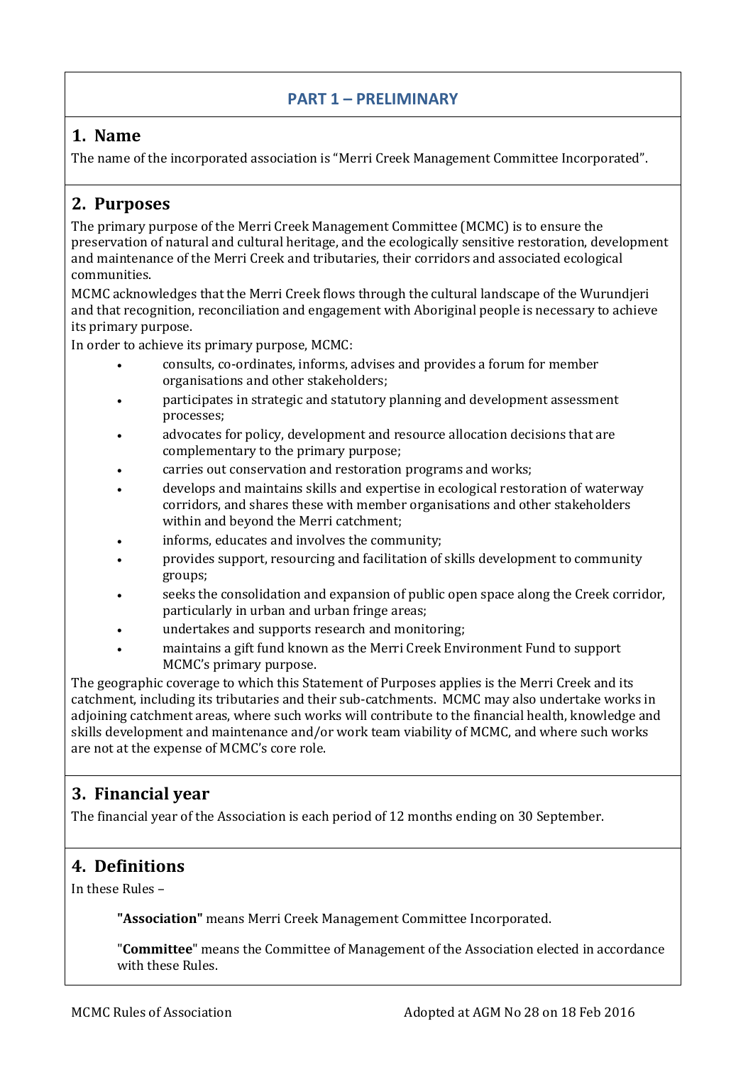#### **PART 1 – PRELIMINARY**

## <span id="page-3-1"></span><span id="page-3-0"></span>**1. Name**

The name of the incorporated association is "Merri Creek Management Committee Incorporated".

## <span id="page-3-2"></span>**2. Purposes**

The primary purpose of the Merri Creek Management Committee (MCMC) is to ensure the preservation of natural and cultural heritage, and the ecologically sensitive restoration, development and maintenance of the Merri Creek and tributaries, their corridors and associated ecological communities.

MCMC acknowledges that the Merri Creek flows through the cultural landscape of the Wurundjeri and that recognition, reconciliation and engagement with Aboriginal people is necessary to achieve its primary purpose.

In order to achieve its primary purpose, MCMC:

- consults, co-ordinates, informs, advises and provides a forum for member organisations and other stakeholders;
- participates in strategic and statutory planning and development assessment processes;
- advocates for policy, development and resource allocation decisions that are complementary to the primary purpose;
- carries out conservation and restoration programs and works;
- develops and maintains skills and expertise in ecological restoration of waterway corridors, and shares these with member organisations and other stakeholders within and beyond the Merri catchment;
- informs, educates and involves the community;
- provides support, resourcing and facilitation of skills development to community groups;
- seeks the consolidation and expansion of public open space along the Creek corridor, particularly in urban and urban fringe areas;
- undertakes and supports research and monitoring;
- maintains a gift fund known as the Merri Creek Environment Fund to support MCMC's primary purpose.

The geographic coverage to which this Statement of Purposes applies is the Merri Creek and its catchment, including its tributaries and their sub-catchments. MCMC may also undertake works in adjoining catchment areas, where such works will contribute to the financial health, knowledge and skills development and maintenance and/or work team viability of MCMC, and where such works are not at the expense of MCMC's core role.

## <span id="page-3-3"></span>**3. Financial year**

The financial year of the Association is each period of 12 months ending on 30 September.

## <span id="page-3-4"></span>**4. Definitions**

In these Rules –

**"Association"** means Merri Creek Management Committee Incorporated.

"**Committee**" means the Committee of Management of the Association elected in accordance with these Rules.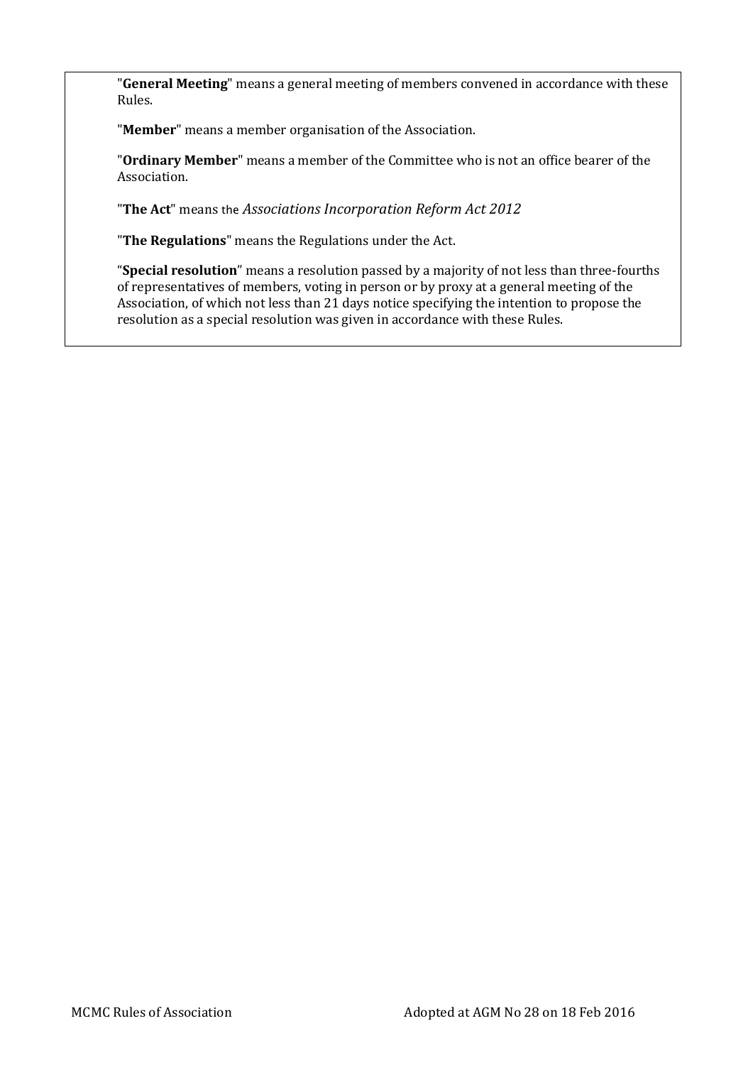"**General Meeting**" means a general meeting of members convened in accordance with these Rules.

"**Member**" means a member organisation of the Association.

"**Ordinary Member**" means a member of the Committee who is not an office bearer of the Association.

"**The Act**" means the *Associations Incorporation Reform Act 2012*

"**The Regulations**" means the Regulations under the Act.

"**Special resolution**" means a resolution passed by a majority of not less than three-fourths of representatives of members, voting in person or by proxy at a general meeting of the Association, of which not less than 21 days notice specifying the intention to propose the resolution as a special resolution was given in accordance with these Rules.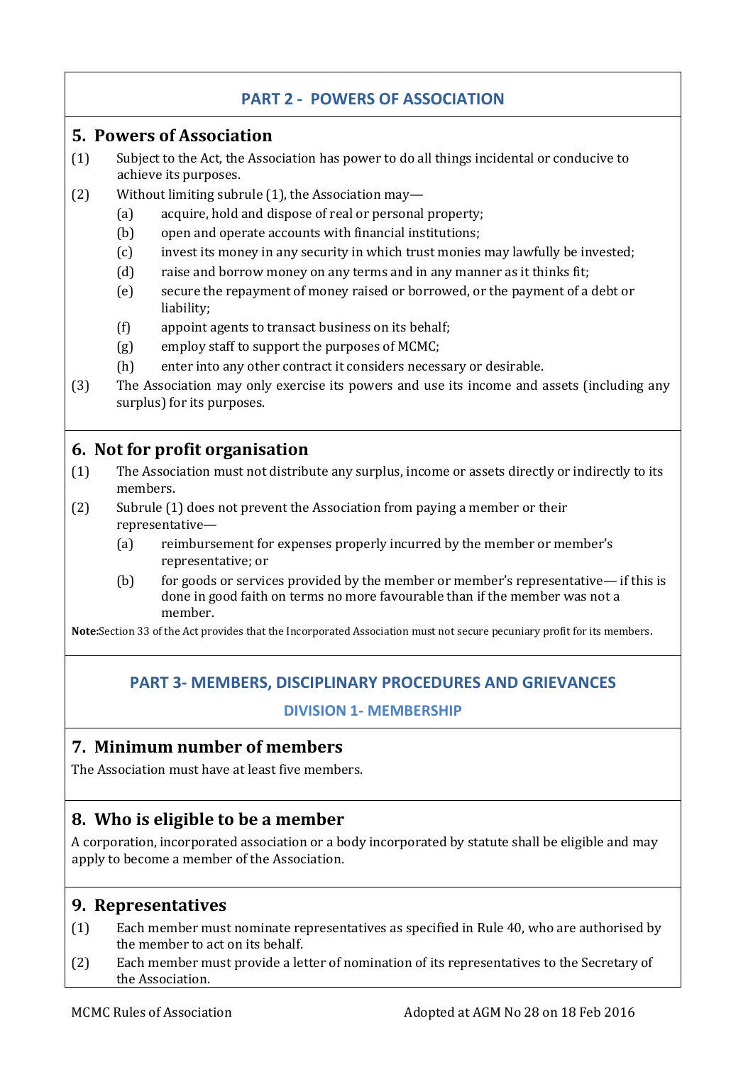## **PART 2 - POWERS OF ASSOCIATION**

#### <span id="page-5-1"></span><span id="page-5-0"></span>**5. Powers of Association**

- (1) Subject to the Act, the Association has power to do all things incidental or conducive to achieve its purposes.
- (2) Without limiting subrule (1), the Association may—
	- (a) acquire, hold and dispose of real or personal property;
	- (b) open and operate accounts with financial institutions;
	- (c) invest its money in any security in which trust monies may lawfully be invested;
	- (d) raise and borrow money on any terms and in any manner as it thinks fit;
	- (e) secure the repayment of money raised or borrowed, or the payment of a debt or liability;
	- (f) appoint agents to transact business on its behalf;
	- (g) employ staff to support the purposes of MCMC;
	- (h) enter into any other contract it considers necessary or desirable.
- (3) The Association may only exercise its powers and use its income and assets (including any surplus) for its purposes.

## <span id="page-5-2"></span>**6. Not for profit organisation**

- (1) The Association must not distribute any surplus, income or assets directly or indirectly to its members.
- (2) Subrule (1) does not prevent the Association from paying a member or their representative—
	- (a) reimbursement for expenses properly incurred by the member or member's representative; or
	- (b) for goods or services provided by the member or member's representative— if this is done in good faith on terms no more favourable than if the member was not a member.

<span id="page-5-3"></span>**Note:**Section 33 of the Act provides that the Incorporated Association must not secure pecuniary profit for its members.

## **PART 3- MEMBERS, DISCIPLINARY PROCEDURES AND GRIEVANCES**

#### **DIVISION 1- MEMBERSHIP**

## <span id="page-5-5"></span><span id="page-5-4"></span>**7. Minimum number of members**

The Association must have at least five members.

## <span id="page-5-6"></span>**8. Who is eligible to be a member**

A corporation, incorporated association or a body incorporated by statute shall be eligible and may apply to become a member of the Association.

## <span id="page-5-7"></span>**9. Representatives**

- (1) Each member must nominate representatives as specified in Rule 40, who are authorised by the member to act on its behalf.
- (2) Each member must provide a letter of nomination of its representatives to the Secretary of the Association.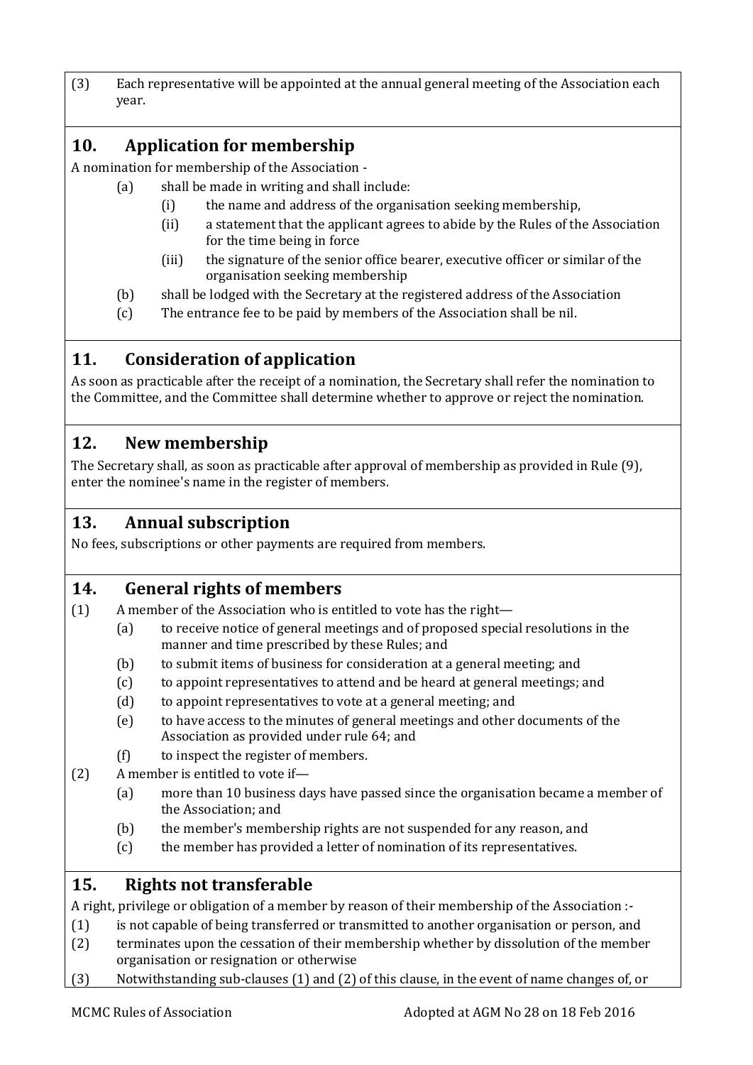(3) Each representative will be appointed at the annual general meeting of the Association each year.

## <span id="page-6-0"></span>**10. Application for membership**

A nomination for membership of the Association -

- (a) shall be made in writing and shall include:
	- (i) the name and address of the organisation seeking membership,
	- (ii) a statement that the applicant agrees to abide by the Rules of the Association for the time being in force
	- (iii) the signature of the senior office bearer, executive officer or similar of the organisation seeking membership
	- (b) shall be lodged with the Secretary at the registered address of the Association
	- (c) The entrance fee to be paid by members of the Association shall be nil.

## <span id="page-6-1"></span>**11. Consideration of application**

As soon as practicable after the receipt of a nomination, the Secretary shall refer the nomination to the Committee, and the Committee shall determine whether to approve or reject the nomination.

## <span id="page-6-2"></span>**12. New membership**

The Secretary shall, as soon as practicable after approval of membership as provided in Rule (9), enter the nominee's name in the register of members.

## <span id="page-6-3"></span>**13. Annual subscription**

No fees, subscriptions or other payments are required from members.

## <span id="page-6-4"></span>**14. General rights of members**

- (1) A member of the Association who is entitled to vote has the right—
	- (a) to receive notice of general meetings and of proposed special resolutions in the manner and time prescribed by these Rules; and
	- (b) to submit items of business for consideration at a general meeting; and
	- (c) to appoint representatives to attend and be heard at general meetings; and
	- (d) to appoint representatives to vote at a general meeting; and
	- (e) to have access to the minutes of general meetings and other documents of the Association as provided under rule 64; and
	- (f) to inspect the register of members.
- (2) A member is entitled to vote if—
	- (a) more than 10 business days have passed since the organisation became a member of the Association; and
	- (b) the member's membership rights are not suspended for any reason, and
	- (c) the member has provided a letter of nomination of its representatives.

## <span id="page-6-5"></span>**15. Rights not transferable**

A right, privilege or obligation of a member by reason of their membership of the Association :-

- (1) is not capable of being transferred or transmitted to another organisation or person, and
- (2) terminates upon the cessation of their membership whether by dissolution of the member organisation or resignation or otherwise
- (3) Notwithstanding sub-clauses (1) and (2) of this clause, in the event of name changes of, or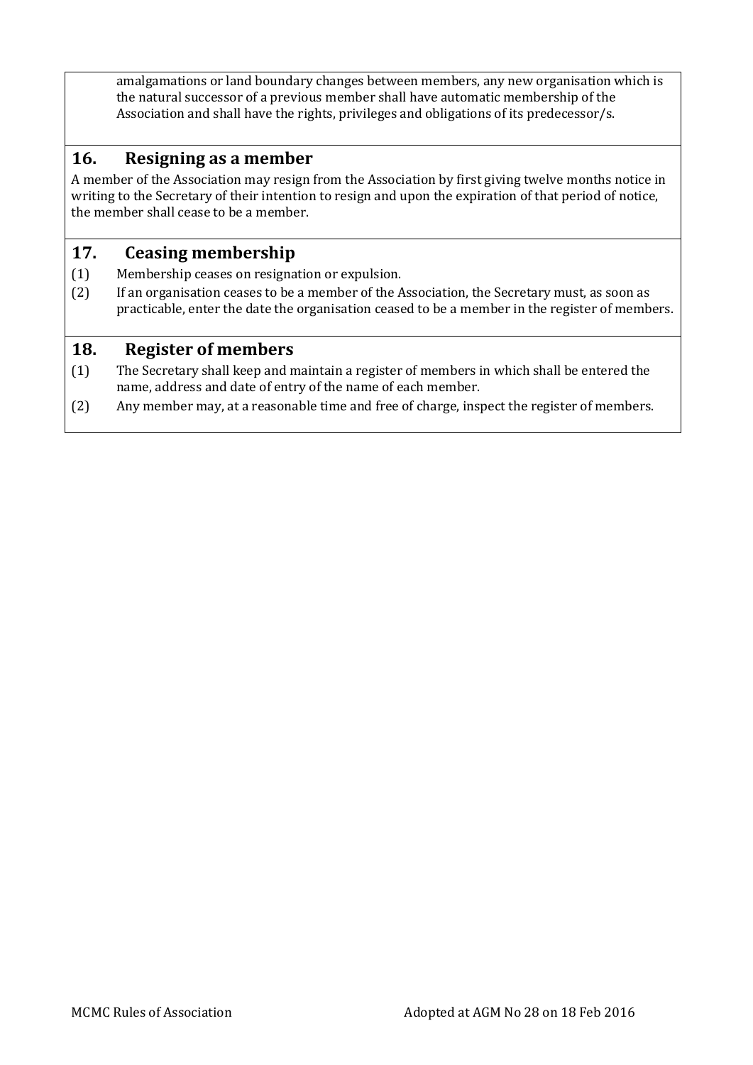amalgamations or land boundary changes between members, any new organisation which is the natural successor of a previous member shall have automatic membership of the Association and shall have the rights, privileges and obligations of its predecessor/s.

#### <span id="page-7-0"></span>**16. Resigning as a member**

A member of the Association may resign from the Association by first giving twelve months notice in writing to the Secretary of their intention to resign and upon the expiration of that period of notice, the member shall cease to be a member.

#### <span id="page-7-1"></span>**17. Ceasing membership**

- (1) Membership ceases on resignation or expulsion.
- (2) If an organisation ceases to be a member of the Association, the Secretary must, as soon as practicable, enter the date the organisation ceased to be a member in the register of members.

#### <span id="page-7-2"></span>**18. Register of members**

- (1) The Secretary shall keep and maintain a register of members in which shall be entered the name, address and date of entry of the name of each member.
- (2) Any member may, at a reasonable time and free of charge, inspect the register of members.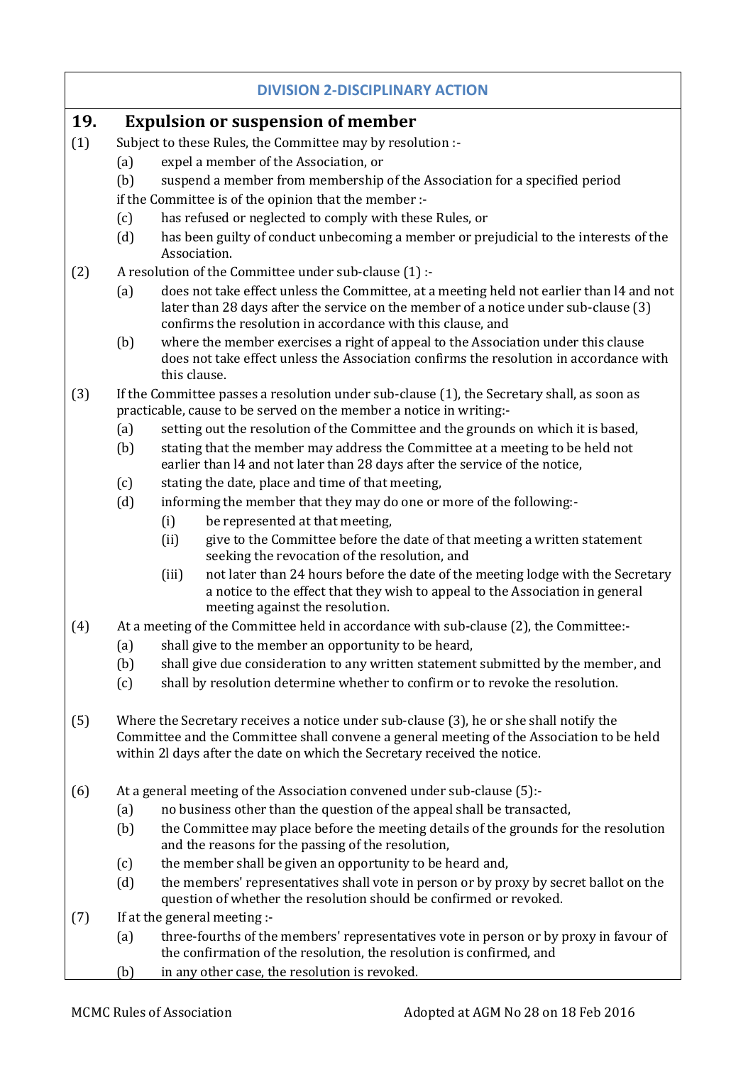#### **DIVISION 2-DISCIPLINARY ACTION**

#### <span id="page-8-1"></span><span id="page-8-0"></span>**19. Expulsion or suspension of member**

- (1) Subject to these Rules, the Committee may by resolution :-
	- (a) expel a member of the Association, or
	- (b) suspend a member from membership of the Association for a specified period
	- if the Committee is of the opinion that the member :-
	- (c) has refused or neglected to comply with these Rules, or
	- (d) has been guilty of conduct unbecoming a member or prejudicial to the interests of the Association.
- (2) A resolution of the Committee under sub-clause (1) :-
	- (a) does not take effect unless the Committee, at a meeting held not earlier than l4 and not later than 28 days after the service on the member of a notice under sub-clause (3) confirms the resolution in accordance with this clause, and
	- (b) where the member exercises a right of appeal to the Association under this clause does not take effect unless the Association confirms the resolution in accordance with this clause.
- (3) If the Committee passes a resolution under sub-clause (1), the Secretary shall, as soon as practicable, cause to be served on the member a notice in writing:-
	- (a) setting out the resolution of the Committee and the grounds on which it is based,
	- (b) stating that the member may address the Committee at a meeting to be held not earlier than l4 and not later than 28 days after the service of the notice,
	- (c) stating the date, place and time of that meeting,
	- (d) informing the member that they may do one or more of the following:-
		- (i) be represented at that meeting,
		- (ii) give to the Committee before the date of that meeting a written statement seeking the revocation of the resolution, and
		- (iii) not later than 24 hours before the date of the meeting lodge with the Secretary a notice to the effect that they wish to appeal to the Association in general meeting against the resolution.
- (4) At a meeting of the Committee held in accordance with sub-clause (2), the Committee:-
	- (a) shall give to the member an opportunity to be heard,
	- (b) shall give due consideration to any written statement submitted by the member, and
	- (c) shall by resolution determine whether to confirm or to revoke the resolution.
- (5) Where the Secretary receives a notice under sub-clause (3), he or she shall notify the Committee and the Committee shall convene a general meeting of the Association to be held within 2l days after the date on which the Secretary received the notice.
- (6) At a general meeting of the Association convened under sub-clause (5):-
	- (a) no business other than the question of the appeal shall be transacted,
	- (b) the Committee may place before the meeting details of the grounds for the resolution and the reasons for the passing of the resolution,
	- (c) the member shall be given an opportunity to be heard and,
	- (d) the members' representatives shall vote in person or by proxy by secret ballot on the question of whether the resolution should be confirmed or revoked.
- (7) If at the general meeting :-
	- (a) three-fourths of the members' representatives vote in person or by proxy in favour of the confirmation of the resolution, the resolution is confirmed, and
	- (b) in any other case, the resolution is revoked.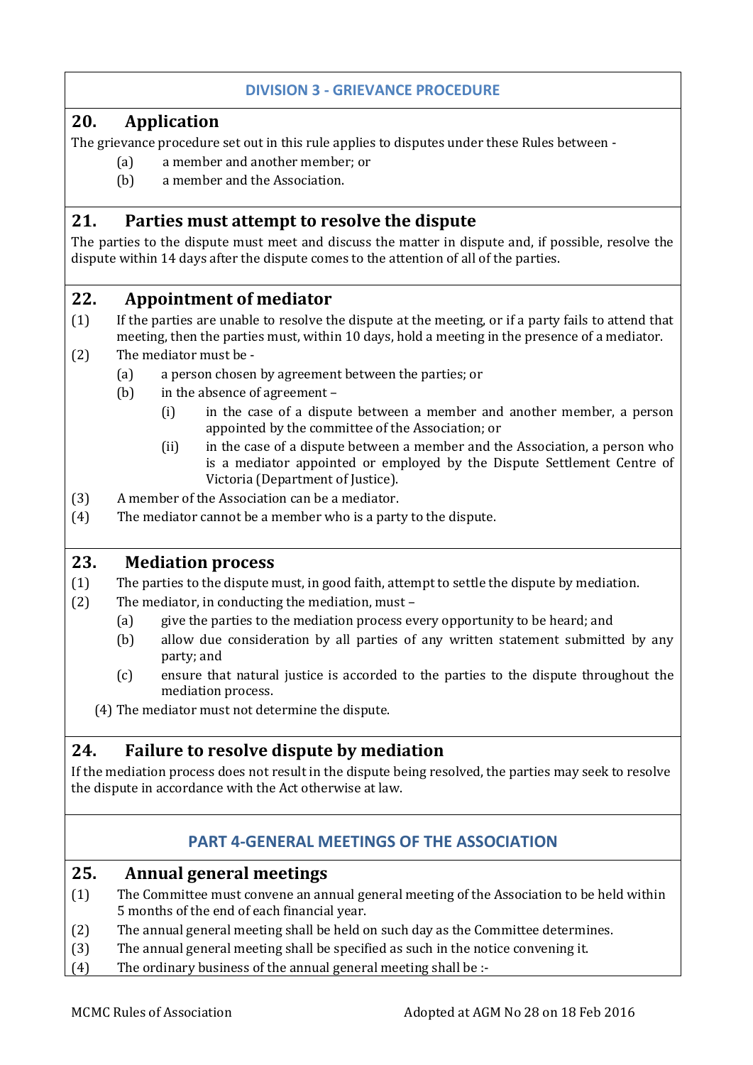#### **DIVISION 3 - GRIEVANCE PROCEDURE**

#### <span id="page-9-0"></span>**20. Application**

The grievance procedure set out in this rule applies to disputes under these Rules between -

- <span id="page-9-1"></span>(a) a member and another member; or
- <span id="page-9-2"></span>(b) a member and the Association.

#### **21. Parties must attempt to resolve the dispute**

The parties to the dispute must meet and discuss the matter in dispute and, if possible, resolve the dispute within 14 days after the dispute comes to the attention of all of the parties.

#### <span id="page-9-3"></span>**22. Appointment of mediator**

- (1) If the parties are unable to resolve the dispute at the meeting, or if a party fails to attend that meeting, then the parties must, within 10 days, hold a meeting in the presence of a mediator.
- (2) The mediator must be
	- (a) a person chosen by agreement between the parties; or
	- (b) in the absence of agreement
		- (i) in the case of a dispute between a member and another member, a person appointed by the committee of the Association; or
		- (ii) in the case of a dispute between a member and the Association, a person who is a mediator appointed or employed by the Dispute Settlement Centre of Victoria (Department of Justice).
- (3) A member of the Association can be a mediator.
- (4) The mediator cannot be a member who is a party to the dispute.

#### <span id="page-9-4"></span>**23. Mediation process**

- (1) The parties to the dispute must, in good faith, attempt to settle the dispute by mediation.
- (2) The mediator, in conducting the mediation, must
	- (a) give the parties to the mediation process every opportunity to be heard; and
	- (b) allow due consideration by all parties of any written statement submitted by any party; and
	- (c) ensure that natural justice is accorded to the parties to the dispute throughout the mediation process.

<span id="page-9-5"></span>(4) The mediator must not determine the dispute.

#### **24. Failure to resolve dispute by mediation**

If the mediation process does not result in the dispute being resolved, the parties may seek to resolve the dispute in accordance with the Act otherwise at law.

#### **PART 4-GENERAL MEETINGS OF THE ASSOCIATION**

#### <span id="page-9-7"></span><span id="page-9-6"></span>**25. Annual general meetings**

- (1) The Committee must convene an annual general meeting of the Association to be held within 5 months of the end of each financial year.
- (2) The annual general meeting shall be held on such day as the Committee determines.
- (3) The annual general meeting shall be specified as such in the notice convening it.
- (4) The ordinary business of the annual general meeting shall be :-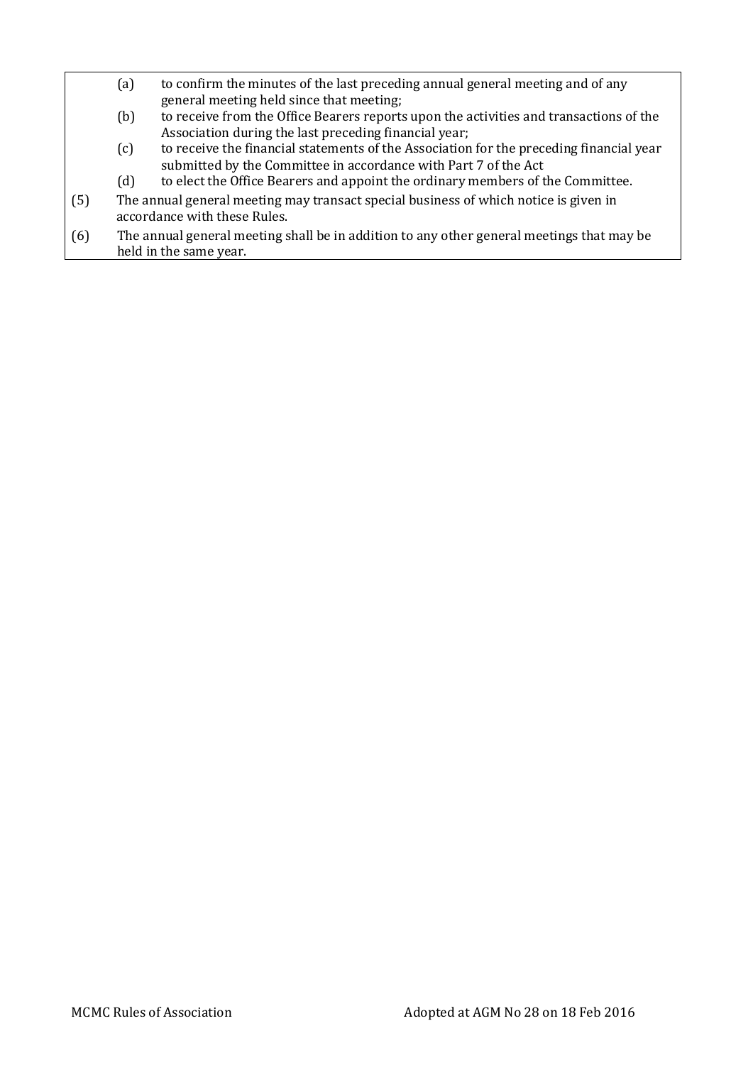- (a) to confirm the minutes of the last preceding annual general meeting and of any general meeting held since that meeting;
- (b) to receive from the Office Bearers reports upon the activities and transactions of the Association during the last preceding financial year;
- (c) to receive the financial statements of the Association for the preceding financial year submitted by the Committee in accordance with Part 7 of the Act
- (d) to elect the Office Bearers and appoint the ordinary members of the Committee.
- (5) The annual general meeting may transact special business of which notice is given in accordance with these Rules.
- (6) The annual general meeting shall be in addition to any other general meetings that may be held in the same year.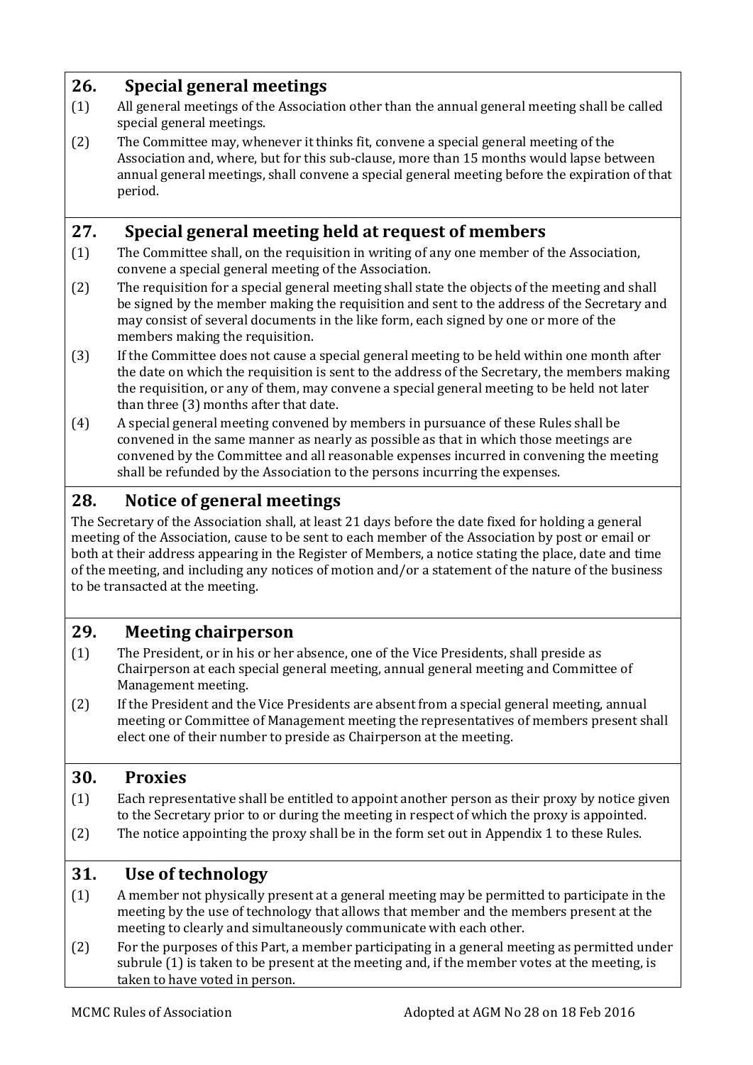## <span id="page-11-0"></span>**26. Special general meetings**

- (1) All general meetings of the Association other than the annual general meeting shall be called special general meetings.
- (2) The Committee may, whenever it thinks fit, convene a special general meeting of the Association and, where, but for this sub-clause, more than 15 months would lapse between annual general meetings, shall convene a special general meeting before the expiration of that period.

## <span id="page-11-1"></span>**27. Special general meeting held at request of members**

- (1) The Committee shall, on the requisition in writing of any one member of the Association, convene a special general meeting of the Association.
- (2) The requisition for a special general meeting shall state the objects of the meeting and shall be signed by the member making the requisition and sent to the address of the Secretary and may consist of several documents in the like form, each signed by one or more of the members making the requisition.
- (3) If the Committee does not cause a special general meeting to be held within one month after the date on which the requisition is sent to the address of the Secretary, the members making the requisition, or any of them, may convene a special general meeting to be held not later than three (3) months after that date.
- (4) A special general meeting convened by members in pursuance of these Rules shall be convened in the same manner as nearly as possible as that in which those meetings are convened by the Committee and all reasonable expenses incurred in convening the meeting shall be refunded by the Association to the persons incurring the expenses.

## <span id="page-11-2"></span>**28. Notice of general meetings**

The Secretary of the Association shall, at least 21 days before the date fixed for holding a general meeting of the Association, cause to be sent to each member of the Association by post or email or both at their address appearing in the Register of Members, a notice stating the place, date and time of the meeting, and including any notices of motion and/or a statement of the nature of the business to be transacted at the meeting.

## <span id="page-11-3"></span>**29. Meeting chairperson**

- (1) The President, or in his or her absence, one of the Vice Presidents, shall preside as Chairperson at each special general meeting, annual general meeting and Committee of Management meeting.
- (2) If the President and the Vice Presidents are absent from a special general meeting, annual meeting or Committee of Management meeting the representatives of members present shall elect one of their number to preside as Chairperson at the meeting.

## <span id="page-11-4"></span>**30. Proxies**

- (1) Each representative shall be entitled to appoint another person as their proxy by notice given to the Secretary prior to or during the meeting in respect of which the proxy is appointed.
- (2) The notice appointing the proxy shall be in the form set out in Appendix 1 to these Rules.

## <span id="page-11-5"></span>**31. Use of technology**

- (1) A member not physically present at a general meeting may be permitted to participate in the meeting by the use of technology that allows that member and the members present at the meeting to clearly and simultaneously communicate with each other.
- (2) For the purposes of this Part, a member participating in a general meeting as permitted under subrule (1) is taken to be present at the meeting and, if the member votes at the meeting, is taken to have voted in person.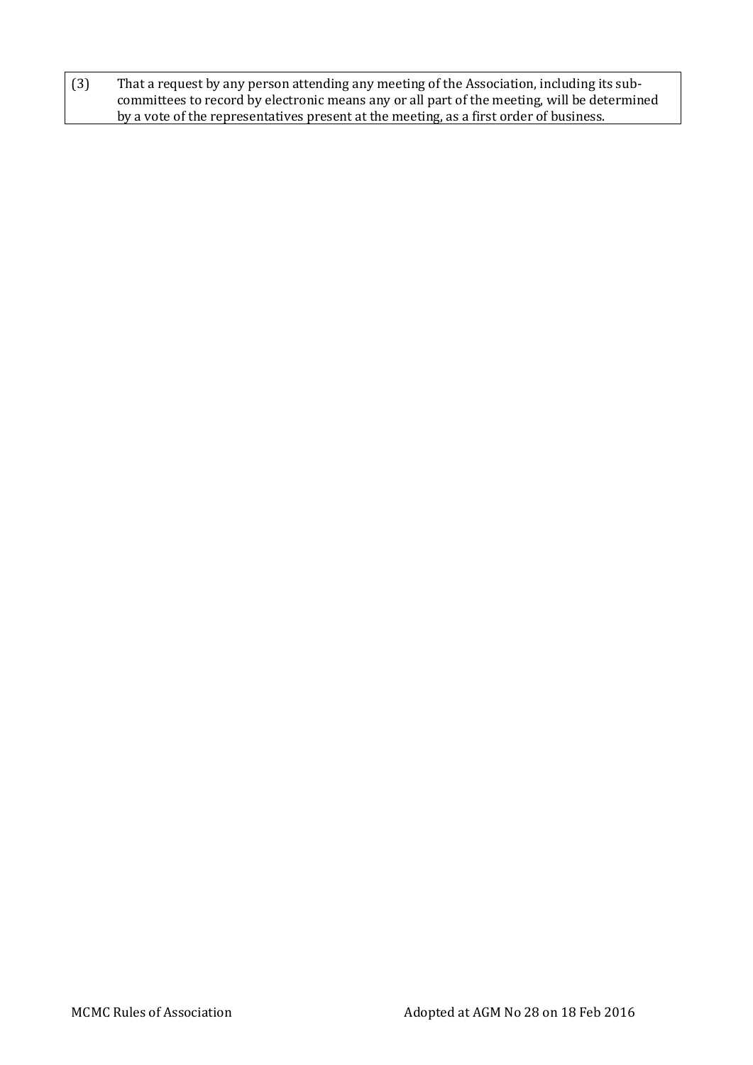(3) That a request by any person attending any meeting of the Association, including its subcommittees to record by electronic means any or all part of the meeting, will be determined by a vote of the representatives present at the meeting, as a first order of business.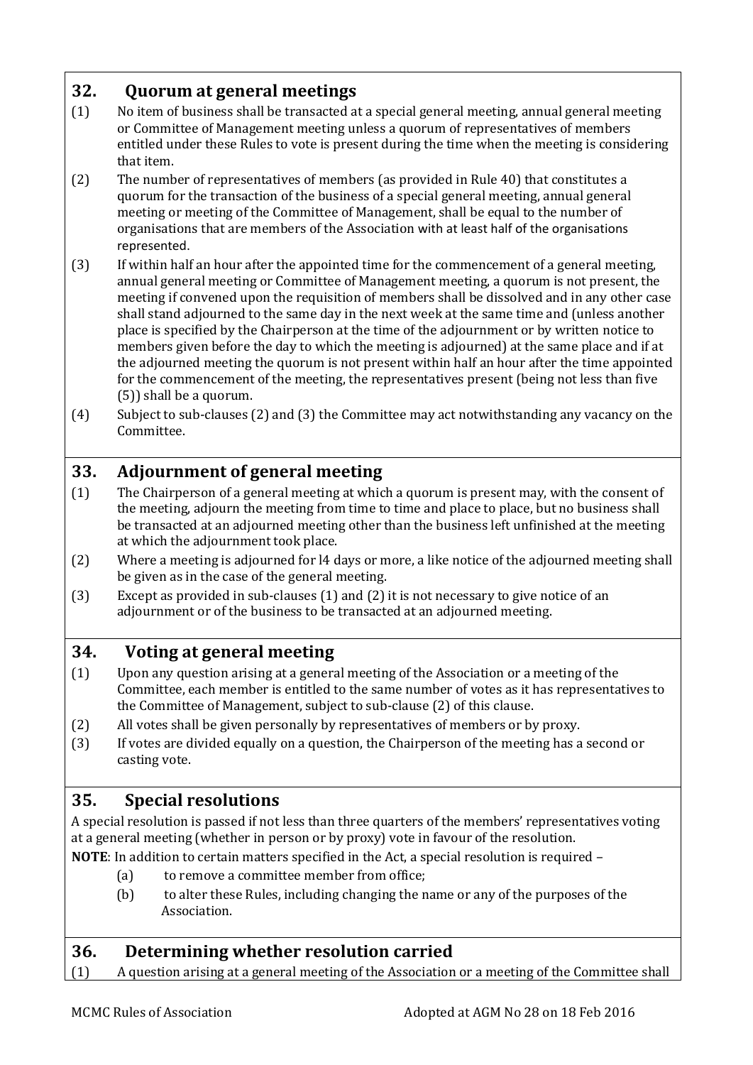## <span id="page-13-0"></span>**32. Quorum at general meetings**

- (1) No item of business shall be transacted at a special general meeting, annual general meeting or Committee of Management meeting unless a quorum of representatives of members entitled under these Rules to vote is present during the time when the meeting is considering that item.
- (2) The number of representatives of members (as provided in Rule 40) that constitutes a quorum for the transaction of the business of a special general meeting, annual general meeting or meeting of the Committee of Management, shall be equal to the number of organisations that are members of the Association with at least half of the organisations represented.
- (3) If within half an hour after the appointed time for the commencement of a general meeting, annual general meeting or Committee of Management meeting, a quorum is not present, the meeting if convened upon the requisition of members shall be dissolved and in any other case shall stand adjourned to the same day in the next week at the same time and (unless another place is specified by the Chairperson at the time of the adjournment or by written notice to members given before the day to which the meeting is adjourned) at the same place and if at the adjourned meeting the quorum is not present within half an hour after the time appointed for the commencement of the meeting, the representatives present (being not less than five (5)) shall be a quorum.
- (4) Subject to sub-clauses (2) and (3) the Committee may act notwithstanding any vacancy on the Committee.

## <span id="page-13-1"></span>**33. Adjournment of general meeting**

- (1) The Chairperson of a general meeting at which a quorum is present may, with the consent of the meeting, adjourn the meeting from time to time and place to place, but no business shall be transacted at an adjourned meeting other than the business left unfinished at the meeting at which the adjournment took place.
- (2) Where a meeting is adjourned for l4 days or more, a like notice of the adjourned meeting shall be given as in the case of the general meeting.
- (3) Except as provided in sub-clauses (1) and (2) it is not necessary to give notice of an adjournment or of the business to be transacted at an adjourned meeting.

## <span id="page-13-2"></span>**34. Voting at general meeting**

- (1) Upon any question arising at a general meeting of the Association or a meeting of the Committee, each member is entitled to the same number of votes as it has representatives to the Committee of Management, subject to sub-clause (2) of this clause.
- (2) All votes shall be given personally by representatives of members or by proxy.
- (3) If votes are divided equally on a question, the Chairperson of the meeting has a second or casting vote.

## <span id="page-13-3"></span>**35. Special resolutions**

A special resolution is passed if not less than three quarters of the members' representatives voting at a general meeting (whether in person or by proxy) vote in favour of the resolution.

**NOTE**: In addition to certain matters specified in the Act, a special resolution is required –

- (a) to remove a committee member from office;
- (b) to alter these Rules, including changing the name or any of the purposes of the Association.

## <span id="page-13-4"></span>**36. Determining whether resolution carried**

(1) A question arising at a general meeting of the Association or a meeting of the Committee shall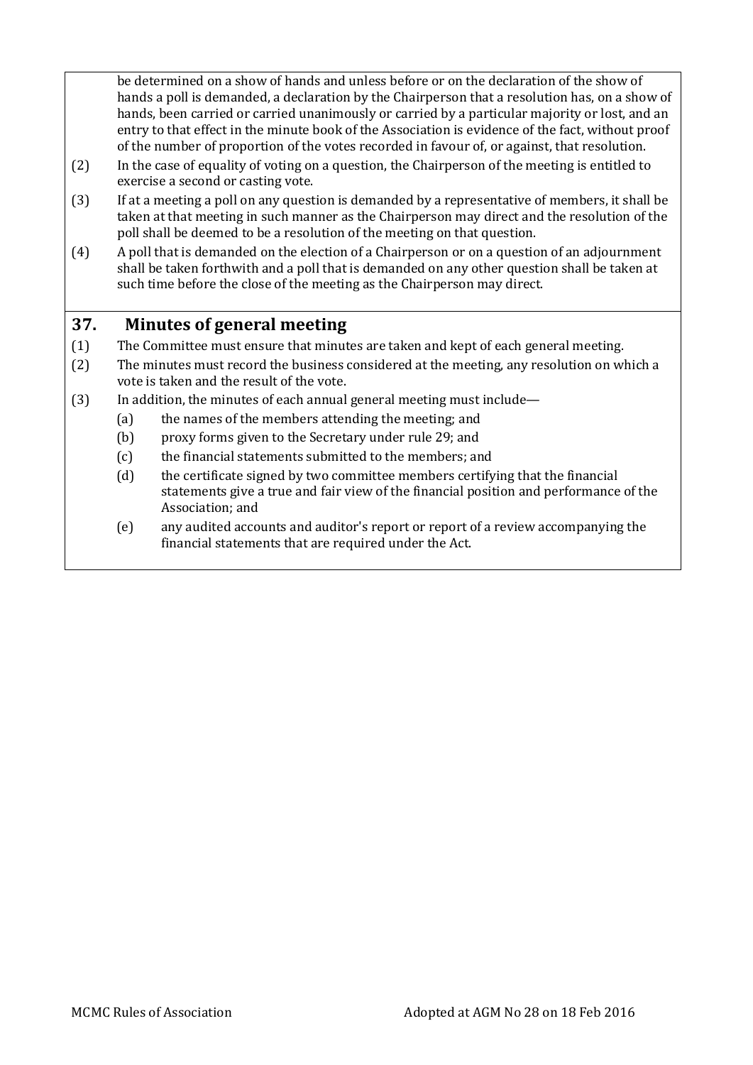be determined on a show of hands and unless before or on the declaration of the show of hands a poll is demanded, a declaration by the Chairperson that a resolution has, on a show of hands, been carried or carried unanimously or carried by a particular majority or lost, and an entry to that effect in the minute book of the Association is evidence of the fact, without proof of the number of proportion of the votes recorded in favour of, or against, that resolution.

- (2) In the case of equality of voting on a question, the Chairperson of the meeting is entitled to exercise a second or casting vote.
- (3) If at a meeting a poll on any question is demanded by a representative of members, it shall be taken at that meeting in such manner as the Chairperson may direct and the resolution of the poll shall be deemed to be a resolution of the meeting on that question.
- (4) A poll that is demanded on the election of a Chairperson or on a question of an adjournment shall be taken forthwith and a poll that is demanded on any other question shall be taken at such time before the close of the meeting as the Chairperson may direct.

## <span id="page-14-0"></span>**37. Minutes of general meeting**

- (1) The Committee must ensure that minutes are taken and kept of each general meeting.
- (2) The minutes must record the business considered at the meeting, any resolution on which a vote is taken and the result of the vote.
- (3) In addition, the minutes of each annual general meeting must include—
	- (a) the names of the members attending the meeting; and
	- (b) proxy forms given to the Secretary under rule 29; and
	- (c) the financial statements submitted to the members; and
	- (d) the certificate signed by two committee members certifying that the financial statements give a true and fair view of the financial position and performance of the Association; and
	- (e) any audited accounts and auditor's report or report of a review accompanying the financial statements that are required under the Act.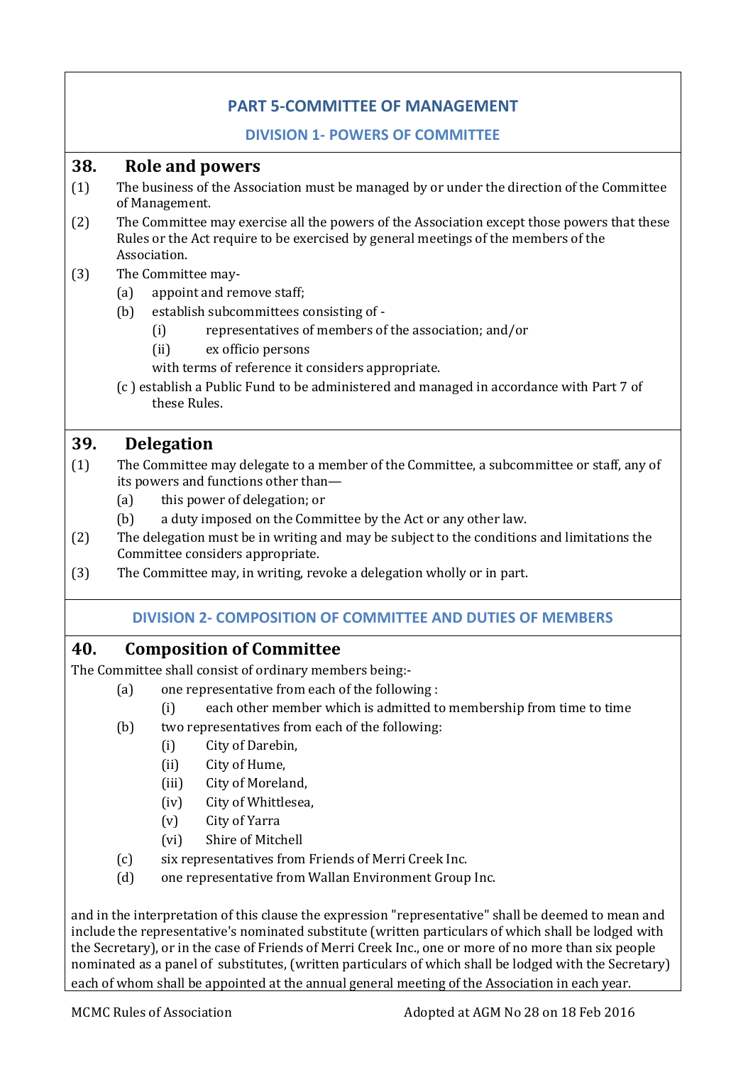## **PART 5-COMMITTEE OF MANAGEMENT**

#### **DIVISION 1- POWERS OF COMMITTEE**

#### <span id="page-15-2"></span><span id="page-15-1"></span><span id="page-15-0"></span>**38. Role and powers**

- (1) The business of the Association must be managed by or under the direction of the Committee of Management.
- (2) The Committee may exercise all the powers of the Association except those powers that these Rules or the Act require to be exercised by general meetings of the members of the Association.

#### (3) The Committee may-

- (a) appoint and remove staff;
- (b) establish subcommittees consisting of
	- (i) representatives of members of the association; and/or
	- (ii) ex officio persons

with terms of reference it considers appropriate.

(c ) establish a Public Fund to be administered and managed in accordance with Part 7 of these Rules.

#### <span id="page-15-3"></span>**39. Delegation**

- (1) The Committee may delegate to a member of the Committee, a subcommittee or staff, any of its powers and functions other than—
	- (a) this power of delegation; or
	- (b) a duty imposed on the Committee by the Act or any other law.
- (2) The delegation must be in writing and may be subject to the conditions and limitations the Committee considers appropriate.
- <span id="page-15-4"></span>(3) The Committee may, in writing, revoke a delegation wholly or in part.

#### <span id="page-15-5"></span>**DIVISION 2- COMPOSITION OF COMMITTEE AND DUTIES OF MEMBERS**

#### **40. Composition of Committee**

The Committee shall consist of ordinary members being:-

- (a) one representative from each of the following :
- (i) each other member which is admitted to membership from time to time
- (b) two representatives from each of the following:
	- (i) City of Darebin,
	- (ii) City of Hume,
	- (iii) City of Moreland,
	- (iv) City of Whittlesea,
	- (v) City of Yarra
	- (vi) Shire of Mitchell
- (c) six representatives from Friends of Merri Creek Inc.
- (d) one representative from Wallan Environment Group Inc.

and in the interpretation of this clause the expression "representative" shall be deemed to mean and include the representative's nominated substitute (written particulars of which shall be lodged with the Secretary), or in the case of Friends of Merri Creek Inc., one or more of no more than six people nominated as a panel of substitutes, (written particulars of which shall be lodged with the Secretary) each of whom shall be appointed at the annual general meeting of the Association in each year.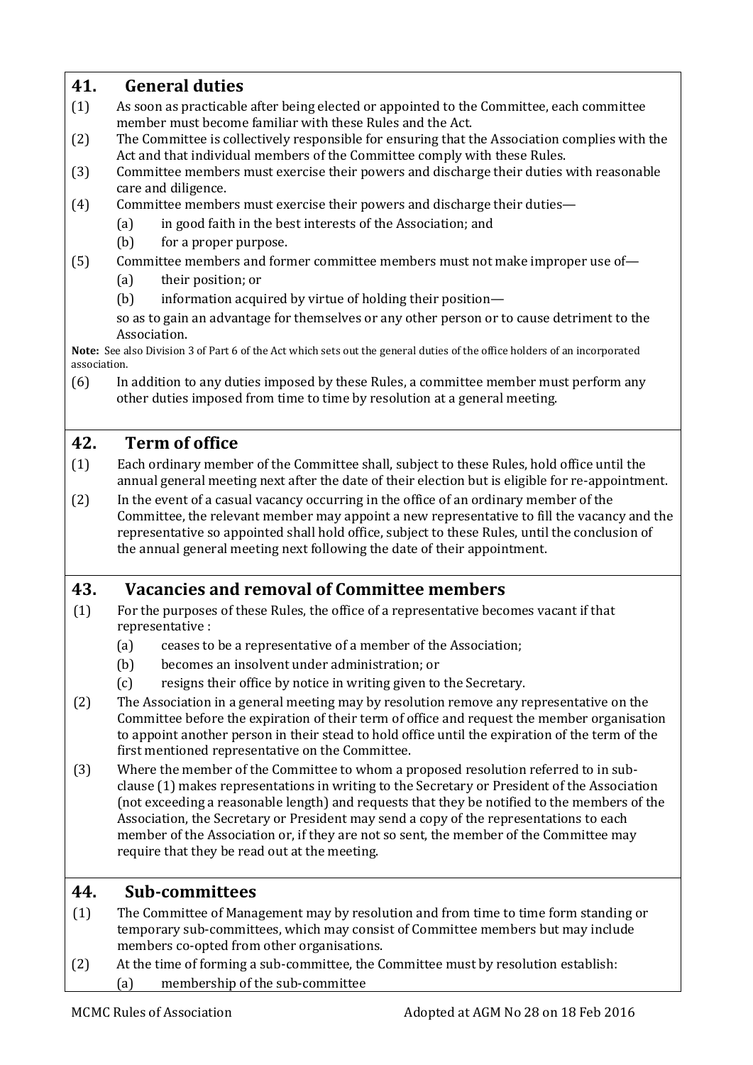## <span id="page-16-0"></span>**41. General duties**

- (1) As soon as practicable after being elected or appointed to the Committee, each committee member must become familiar with these Rules and the Act.
- (2) The Committee is collectively responsible for ensuring that the Association complies with the Act and that individual members of the Committee comply with these Rules.
- (3) Committee members must exercise their powers and discharge their duties with reasonable care and diligence.
- (4) Committee members must exercise their powers and discharge their duties—
	- (a) in good faith in the best interests of the Association; and
	- (b) for a proper purpose.
- (5) Committee members and former committee members must not make improper use of—
	- (a) their position; or
	- (b) information acquired by virtue of holding their position—

so as to gain an advantage for themselves or any other person or to cause detriment to the Association.

**Note:** See also Division 3 of Part 6 of the Act which sets out the general duties of the office holders of an incorporated association.

(6) In addition to any duties imposed by these Rules, a committee member must perform any other duties imposed from time to time by resolution at a general meeting.

## <span id="page-16-1"></span>**42. Term of office**

- (1) Each ordinary member of the Committee shall, subject to these Rules, hold office until the annual general meeting next after the date of their election but is eligible for re-appointment.
- (2) In the event of a casual vacancy occurring in the office of an ordinary member of the Committee, the relevant member may appoint a new representative to fill the vacancy and the representative so appointed shall hold office, subject to these Rules, until the conclusion of the annual general meeting next following the date of their appointment.

## <span id="page-16-2"></span>**43. Vacancies and removal of Committee members**

- (1) For the purposes of these Rules, the office of a representative becomes vacant if that representative :
	- (a) ceases to be a representative of a member of the Association;
	- (b) becomes an insolvent under administration; or
	- (c) resigns their office by notice in writing given to the Secretary.
- (2) The Association in a general meeting may by resolution remove any representative on the Committee before the expiration of their term of office and request the member organisation to appoint another person in their stead to hold office until the expiration of the term of the first mentioned representative on the Committee.
- (3) Where the member of the Committee to whom a proposed resolution referred to in subclause (1) makes representations in writing to the Secretary or President of the Association (not exceeding a reasonable length) and requests that they be notified to the members of the Association, the Secretary or President may send a copy of the representations to each member of the Association or, if they are not so sent, the member of the Committee may require that they be read out at the meeting.

## <span id="page-16-3"></span>**44. Sub-committees**

- (1) The Committee of Management may by resolution and from time to time form standing or temporary sub-committees, which may consist of Committee members but may include members co-opted from other organisations.
- (2) At the time of forming a sub-committee, the Committee must by resolution establish: (a) membership of the sub-committee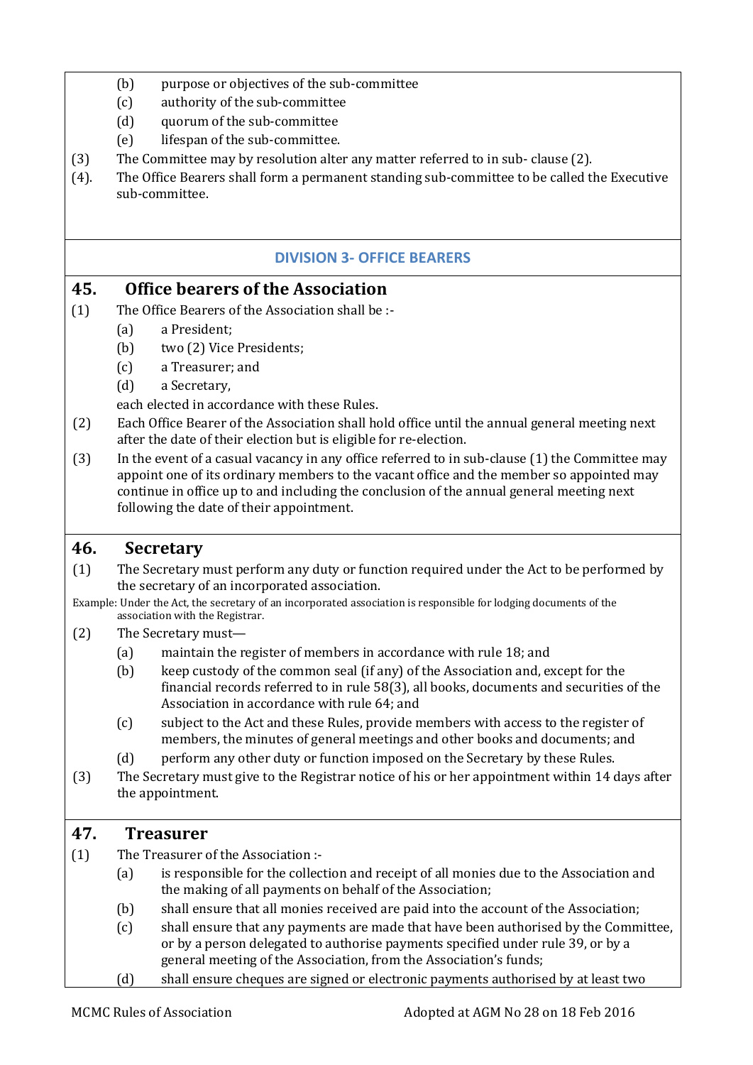- (b) purpose or objectives of the sub-committee
- (c) authority of the sub-committee
- (d) quorum of the sub-committee
- (e) lifespan of the sub-committee.
- (3) The Committee may by resolution alter any matter referred to in sub- clause (2).
- (4). The Office Bearers shall form a permanent standing sub-committee to be called the Executive sub-committee.

#### **DIVISION 3- OFFICE BEARERS**

#### <span id="page-17-1"></span><span id="page-17-0"></span>**45. Office bearers of the Association**

- (1) The Office Bearers of the Association shall be :-
	- (a) a President;
	- (b) two (2) Vice Presidents;
	- (c) a Treasurer; and
	- (d) a Secretary,

each elected in accordance with these Rules.

- (2) Each Office Bearer of the Association shall hold office until the annual general meeting next after the date of their election but is eligible for re-election.
- (3) In the event of a casual vacancy in any office referred to in sub-clause (1) the Committee may appoint one of its ordinary members to the vacant office and the member so appointed may continue in office up to and including the conclusion of the annual general meeting next following the date of their appointment.

#### <span id="page-17-2"></span>**46. Secretary**

(1) The Secretary must perform any duty or function required under the Act to be performed by the secretary of an incorporated association.

Example: Under the Act, the secretary of an incorporated association is responsible for lodging documents of the association with the Registrar.

- (2) The Secretary must—
	- (a) maintain the register of members in accordance with rule 18; and
	- (b) keep custody of the common seal (if any) of the Association and, except for the financial records referred to in rule 58(3), all books, documents and securities of the Association in accordance with rule 64; and
	- (c) subject to the Act and these Rules, provide members with access to the register of members, the minutes of general meetings and other books and documents; and
	- (d) perform any other duty or function imposed on the Secretary by these Rules.
- (3) The Secretary must give to the Registrar notice of his or her appointment within 14 days after the appointment.

#### <span id="page-17-3"></span>**47. Treasurer**

- (1) The Treasurer of the Association :-
	- (a) is responsible for the collection and receipt of all monies due to the Association and the making of all payments on behalf of the Association;
	- (b) shall ensure that all monies received are paid into the account of the Association;
	- (c) shall ensure that any payments are made that have been authorised by the Committee, or by a person delegated to authorise payments specified under rule 39, or by a general meeting of the Association, from the Association's funds;
	- (d) shall ensure cheques are signed or electronic payments authorised by at least two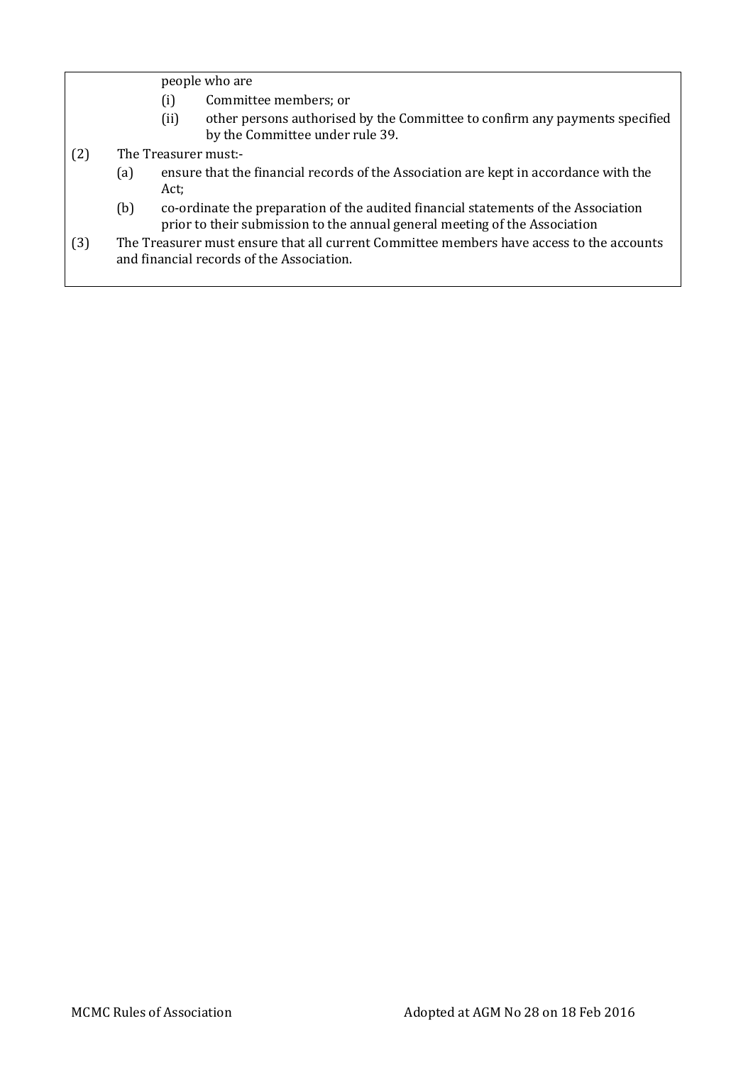people who are

- (i) Committee members; or
- (ii) other persons authorised by the Committee to confirm any payments specified by the Committee under rule 39.
- (2) The Treasurer must:-
	- (a) ensure that the financial records of the Association are kept in accordance with the Act;
	- (b) co-ordinate the preparation of the audited financial statements of the Association prior to their submission to the annual general meeting of the Association
- (3) The Treasurer must ensure that all current Committee members have access to the accounts and financial records of the Association.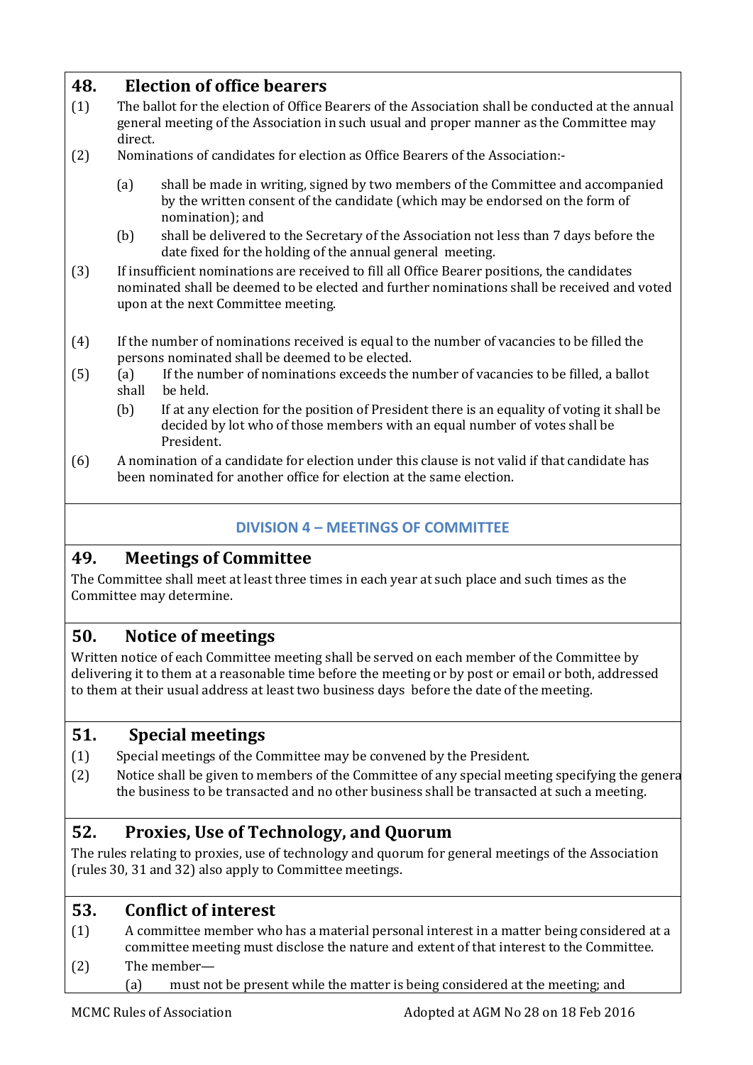## <span id="page-19-0"></span>**48. Election of office bearers**

- (1) The ballot for the election of Office Bearers of the Association shall be conducted at the annual general meeting of the Association in such usual and proper manner as the Committee may direct.
- (2) Nominations of candidates for election as Office Bearers of the Association:-
	- (a) shall be made in writing, signed by two members of the Committee and accompanied by the written consent of the candidate (which may be endorsed on the form of nomination); and
	- (b) shall be delivered to the Secretary of the Association not less than 7 days before the date fixed for the holding of the annual general meeting.
- (3) If insufficient nominations are received to fill all Office Bearer positions, the candidates nominated shall be deemed to be elected and further nominations shall be received and voted upon at the next Committee meeting.
- (4) If the number of nominations received is equal to the number of vacancies to be filled the persons nominated shall be deemed to be elected.
- (5) (a) If the number of nominations exceeds the number of vacancies to be filled, a ballot shall be held.
	- (b) If at any election for the position of President there is an equality of voting it shall be decided by lot who of those members with an equal number of votes shall be President.
- (6) A nomination of a candidate for election under this clause is not valid if that candidate has been nominated for another office for election at the same election.

#### **DIVISION 4 – MEETINGS OF COMMITTEE**

#### <span id="page-19-2"></span><span id="page-19-1"></span>**49. Meetings of Committee**

The Committee shall meet at least three times in each year at such place and such times as the Committee may determine.

#### <span id="page-19-3"></span>**50. Notice of meetings**

Written notice of each Committee meeting shall be served on each member of the Committee by delivering it to them at a reasonable time before the meeting or by post or email or both, addressed to them at their usual address at least two business days before the date of the meeting.

#### <span id="page-19-4"></span>**51. Special meetings**

- (1) Special meetings of the Committee may be convened by the President.
- (2) Notice shall be given to members of the Committee of any special meeting specifying the general the business to be transacted and no other business shall be transacted at such a meeting.

## <span id="page-19-5"></span>**52. Proxies, Use of Technology, and Quorum**

The rules relating to proxies, use of technology and quorum for general meetings of the Association (rules 30, 31 and 32) also apply to Committee meetings.

#### <span id="page-19-6"></span>**53. Conflict of interest**

- (1) A committee member who has a material personal interest in a matter being considered at a committee meeting must disclose the nature and extent of that interest to the Committee.
- (2) The member—
	- (a) must not be present while the matter is being considered at the meeting; and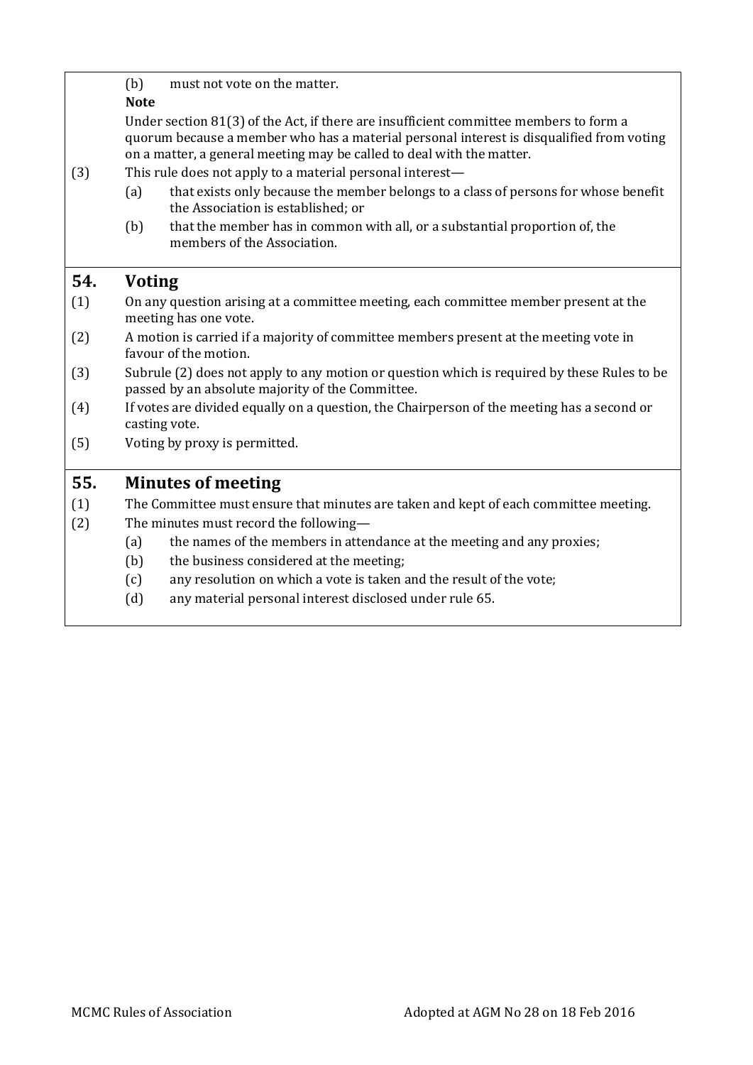<span id="page-20-1"></span><span id="page-20-0"></span>

|     | must not vote on the matter.                                                                                                                                                                                                                               |  |  |
|-----|------------------------------------------------------------------------------------------------------------------------------------------------------------------------------------------------------------------------------------------------------------|--|--|
|     | (b)<br><b>Note</b>                                                                                                                                                                                                                                         |  |  |
|     | Under section 81(3) of the Act, if there are insufficient committee members to form a<br>quorum because a member who has a material personal interest is disqualified from voting<br>on a matter, a general meeting may be called to deal with the matter. |  |  |
| (3) | This rule does not apply to a material personal interest—                                                                                                                                                                                                  |  |  |
|     | that exists only because the member belongs to a class of persons for whose benefit<br>(a)<br>the Association is established; or                                                                                                                           |  |  |
|     | that the member has in common with all, or a substantial proportion of, the<br>(b)<br>members of the Association.                                                                                                                                          |  |  |
| 54. | <b>Voting</b>                                                                                                                                                                                                                                              |  |  |
| (1) | On any question arising at a committee meeting, each committee member present at the<br>meeting has one vote.                                                                                                                                              |  |  |
| (2) | A motion is carried if a majority of committee members present at the meeting vote in<br>favour of the motion.                                                                                                                                             |  |  |
| (3) | Subrule (2) does not apply to any motion or question which is required by these Rules to be<br>passed by an absolute majority of the Committee.                                                                                                            |  |  |
| (4) | If votes are divided equally on a question, the Chairperson of the meeting has a second or<br>casting vote.                                                                                                                                                |  |  |
| (5) | Voting by proxy is permitted.                                                                                                                                                                                                                              |  |  |
| 55. | <b>Minutes of meeting</b>                                                                                                                                                                                                                                  |  |  |
| (1) | The Committee must ensure that minutes are taken and kept of each committee meeting.                                                                                                                                                                       |  |  |
| (2) | The minutes must record the following-                                                                                                                                                                                                                     |  |  |
|     | the names of the members in attendance at the meeting and any proxies;<br>(a)                                                                                                                                                                              |  |  |
|     | the business considered at the meeting;<br>(b)                                                                                                                                                                                                             |  |  |
|     | any resolution on which a vote is taken and the result of the vote;<br>(c)                                                                                                                                                                                 |  |  |
|     | (d)<br>any material personal interest disclosed under rule 65.                                                                                                                                                                                             |  |  |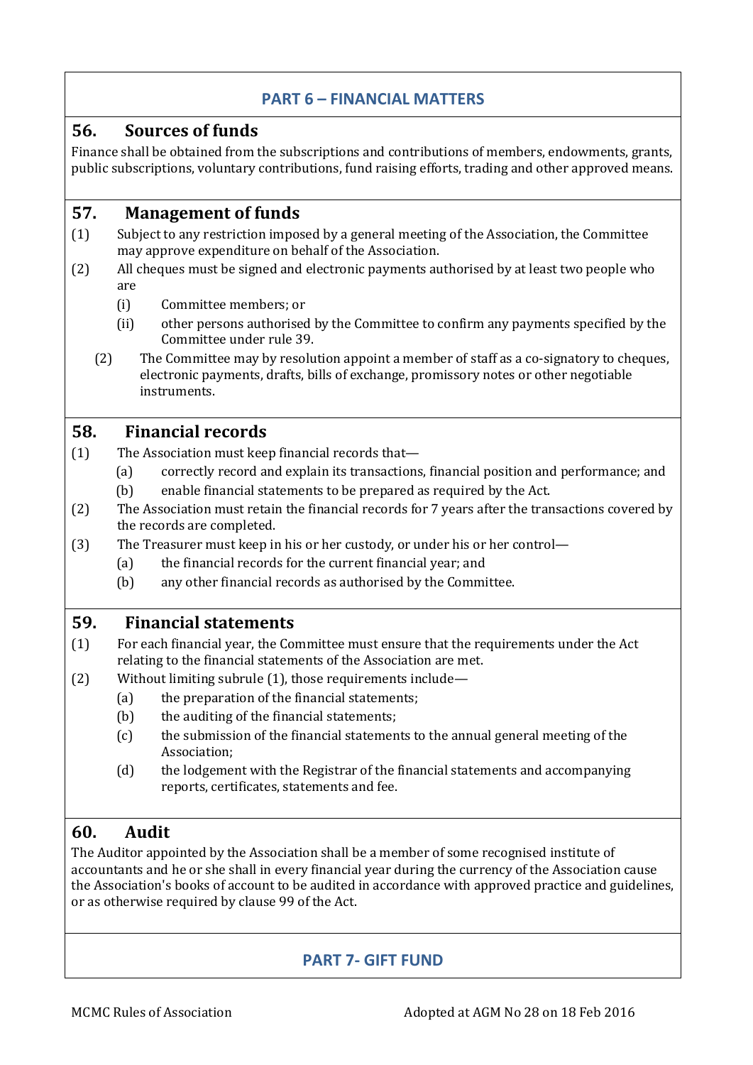#### **PART 6 – FINANCIAL MATTERS**

#### <span id="page-21-1"></span><span id="page-21-0"></span>**56. Sources of funds**

Finance shall be obtained from the subscriptions and contributions of members, endowments, grants, public subscriptions, voluntary contributions, fund raising efforts, trading and other approved means.

#### <span id="page-21-2"></span>**57. Management of funds**

- (1) Subject to any restriction imposed by a general meeting of the Association, the Committee may approve expenditure on behalf of the Association.
- (2) All cheques must be signed and electronic payments authorised by at least two people who are
	- (i) Committee members; or
	- (ii) other persons authorised by the Committee to confirm any payments specified by the Committee under rule 39.
	- (2) The Committee may by resolution appoint a member of staff as a co-signatory to cheques, electronic payments, drafts, bills of exchange, promissory notes or other negotiable instruments.

#### <span id="page-21-3"></span>**58. Financial records**

- (1) The Association must keep financial records that—
	- (a) correctly record and explain its transactions, financial position and performance; and
	- (b) enable financial statements to be prepared as required by the Act.
- (2) The Association must retain the financial records for 7 years after the transactions covered by the records are completed.
- (3) The Treasurer must keep in his or her custody, or under his or her control—
	- (a) the financial records for the current financial year; and
	- (b) any other financial records as authorised by the Committee.

#### <span id="page-21-4"></span>**59. Financial statements**

- (1) For each financial year, the Committee must ensure that the requirements under the Act relating to the financial statements of the Association are met.
- (2) Without limiting subrule (1), those requirements include—
	- (a) the preparation of the financial statements;
	- (b) the auditing of the financial statements;
	- (c) the submission of the financial statements to the annual general meeting of the Association;
	- (d) the lodgement with the Registrar of the financial statements and accompanying reports, certificates, statements and fee.

## <span id="page-21-5"></span>**60. Audit**

<span id="page-21-6"></span>The Auditor appointed by the Association shall be a member of some recognised institute of accountants and he or she shall in every financial year during the currency of the Association cause the Association's books of account to be audited in accordance with approved practice and guidelines, or as otherwise required by clause 99 of the Act.

## **PART 7- GIFT FUND**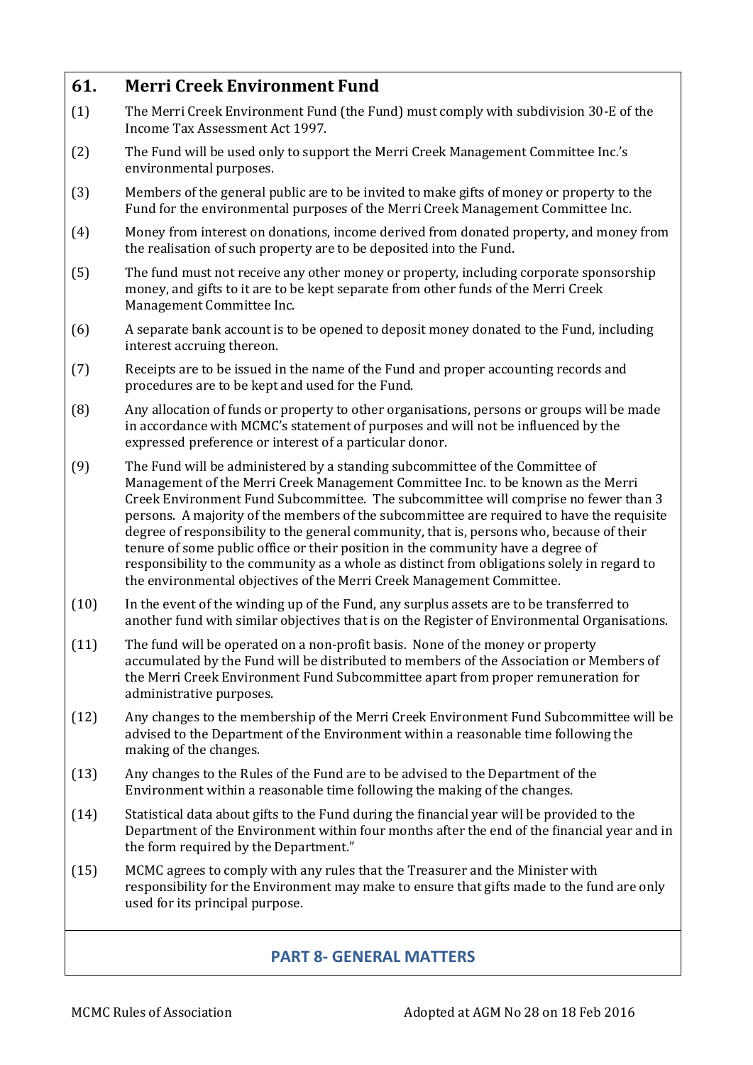## <span id="page-22-0"></span>**61. Merri Creek Environment Fund** (1) The Merri Creek Environment Fund (the Fund) must comply with subdivision 30-E of the Income Tax Assessment Act 1997. (2) The Fund will be used only to support the Merri Creek Management Committee Inc.'s environmental purposes. (3) Members of the general public are to be invited to make gifts of money or property to the Fund for the environmental purposes of the Merri Creek Management Committee Inc. (4) Money from interest on donations, income derived from donated property, and money from the realisation of such property are to be deposited into the Fund. (5) The fund must not receive any other money or property, including corporate sponsorship money, and gifts to it are to be kept separate from other funds of the Merri Creek Management Committee Inc. (6) A separate bank account is to be opened to deposit money donated to the Fund, including interest accruing thereon. (7) Receipts are to be issued in the name of the Fund and proper accounting records and procedures are to be kept and used for the Fund. (8) Any allocation of funds or property to other organisations, persons or groups will be made in accordance with MCMC's statement of purposes and will not be influenced by the expressed preference or interest of a particular donor. (9) The Fund will be administered by a standing subcommittee of the Committee of Management of the Merri Creek Management Committee Inc. to be known as the Merri Creek Environment Fund Subcommittee. The subcommittee will comprise no fewer than 3 persons. A majority of the members of the subcommittee are required to have the requisite degree of responsibility to the general community, that is, persons who, because of their tenure of some public office or their position in the community have a degree of responsibility to the community as a whole as distinct from obligations solely in regard to the environmental objectives of the Merri Creek Management Committee. (10) In the event of the winding up of the Fund, any surplus assets are to be transferred to another fund with similar objectives that is on the Register of Environmental Organisations. (11) The fund will be operated on a non-profit basis. None of the money or property accumulated by the Fund will be distributed to members of the Association or Members of the Merri Creek Environment Fund Subcommittee apart from proper remuneration for administrative purposes. (12) Any changes to the membership of the Merri Creek Environment Fund Subcommittee will be advised to the Department of the Environment within a reasonable time following the making of the changes. (13) Any changes to the Rules of the Fund are to be advised to the Department of the Environment within a reasonable time following the making of the changes. (14) Statistical data about gifts to the Fund during the financial year will be provided to the Department of the Environment within four months after the end of the financial year and in the form required by the Department." (15) MCMC agrees to comply with any rules that the Treasurer and the Minister with responsibility for the Environment may make to ensure that gifts made to the fund are only used for its principal purpose.

## <span id="page-22-1"></span>**PART 8- GENERAL MATTERS**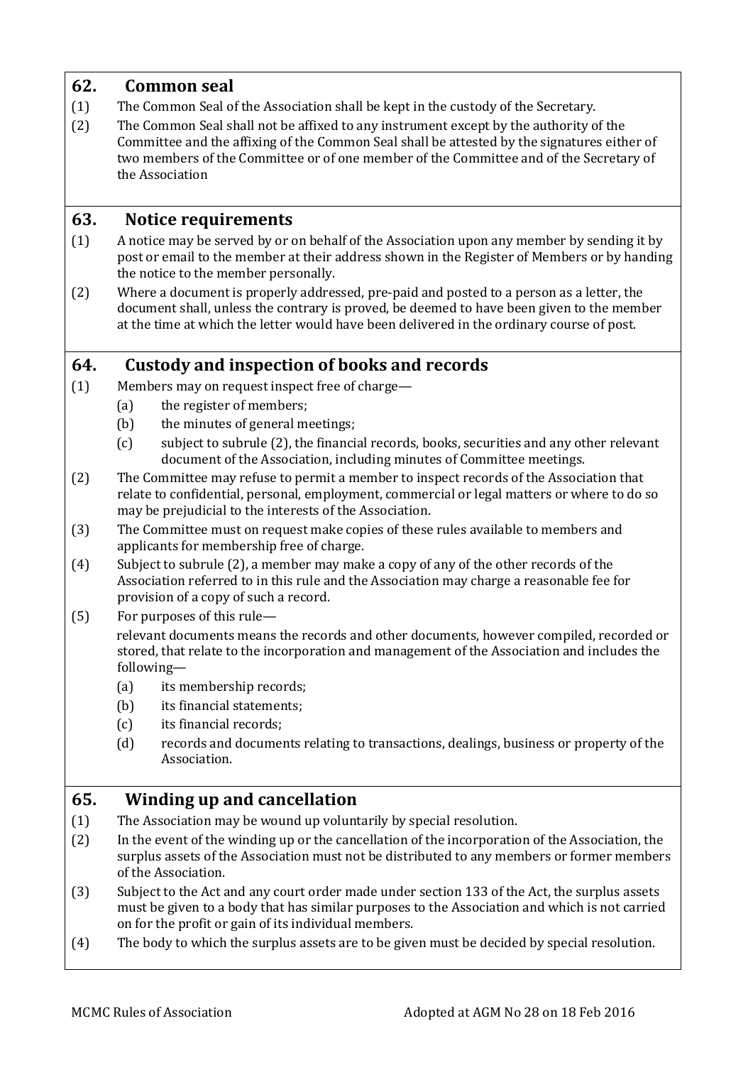## <span id="page-23-0"></span>**62. Common seal**

- (1) The Common Seal of the Association shall be kept in the custody of the Secretary.
- (2) The Common Seal shall not be affixed to any instrument except by the authority of the Committee and the affixing of the Common Seal shall be attested by the signatures either of two members of the Committee or of one member of the Committee and of the Secretary of the Association

#### <span id="page-23-1"></span>**63. Notice requirements**

- (1) A notice may be served by or on behalf of the Association upon any member by sending it by post or email to the member at their address shown in the Register of Members or by handing the notice to the member personally.
- (2) Where a document is properly addressed, pre-paid and posted to a person as a letter, the document shall, unless the contrary is proved, be deemed to have been given to the member at the time at which the letter would have been delivered in the ordinary course of post.

## <span id="page-23-2"></span>**64. Custody and inspection of books and records**

- (1) Members may on request inspect free of charge—
	- (a) the register of members;
	- (b) the minutes of general meetings;
	- (c) subject to subrule (2), the financial records, books, securities and any other relevant document of the Association, including minutes of Committee meetings.
- (2) The Committee may refuse to permit a member to inspect records of the Association that relate to confidential, personal, employment, commercial or legal matters or where to do so may be prejudicial to the interests of the Association.
- (3) The Committee must on request make copies of these rules available to members and applicants for membership free of charge.
- (4) Subject to subrule (2), a member may make a copy of any of the other records of the Association referred to in this rule and the Association may charge a reasonable fee for provision of a copy of such a record.
- (5) For purposes of this rule—

relevant documents means the records and other documents, however compiled, recorded or stored, that relate to the incorporation and management of the Association and includes the following—

- (a) its membership records;
- (b) its financial statements;
- (c) its financial records;
- (d) records and documents relating to transactions, dealings, business or property of the Association.

## <span id="page-23-3"></span>**65. Winding up and cancellation**

- (1) The Association may be wound up voluntarily by special resolution.
- (2) In the event of the winding up or the cancellation of the incorporation of the Association, the surplus assets of the Association must not be distributed to any members or former members of the Association.
- (3) Subject to the Act and any court order made under section 133 of the Act, the surplus assets must be given to a body that has similar purposes to the Association and which is not carried on for the profit or gain of its individual members.
- (4) The body to which the surplus assets are to be given must be decided by special resolution.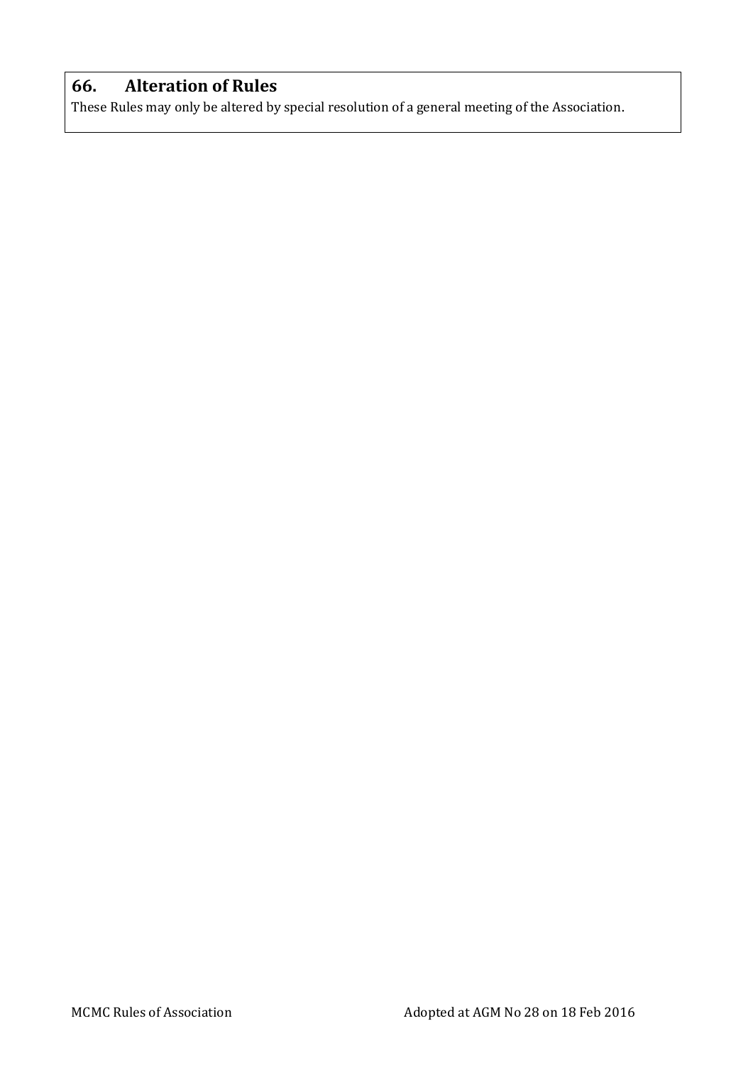## <span id="page-24-0"></span>**66. Alteration of Rules**

These Rules may only be altered by special resolution of a general meeting of the Association.